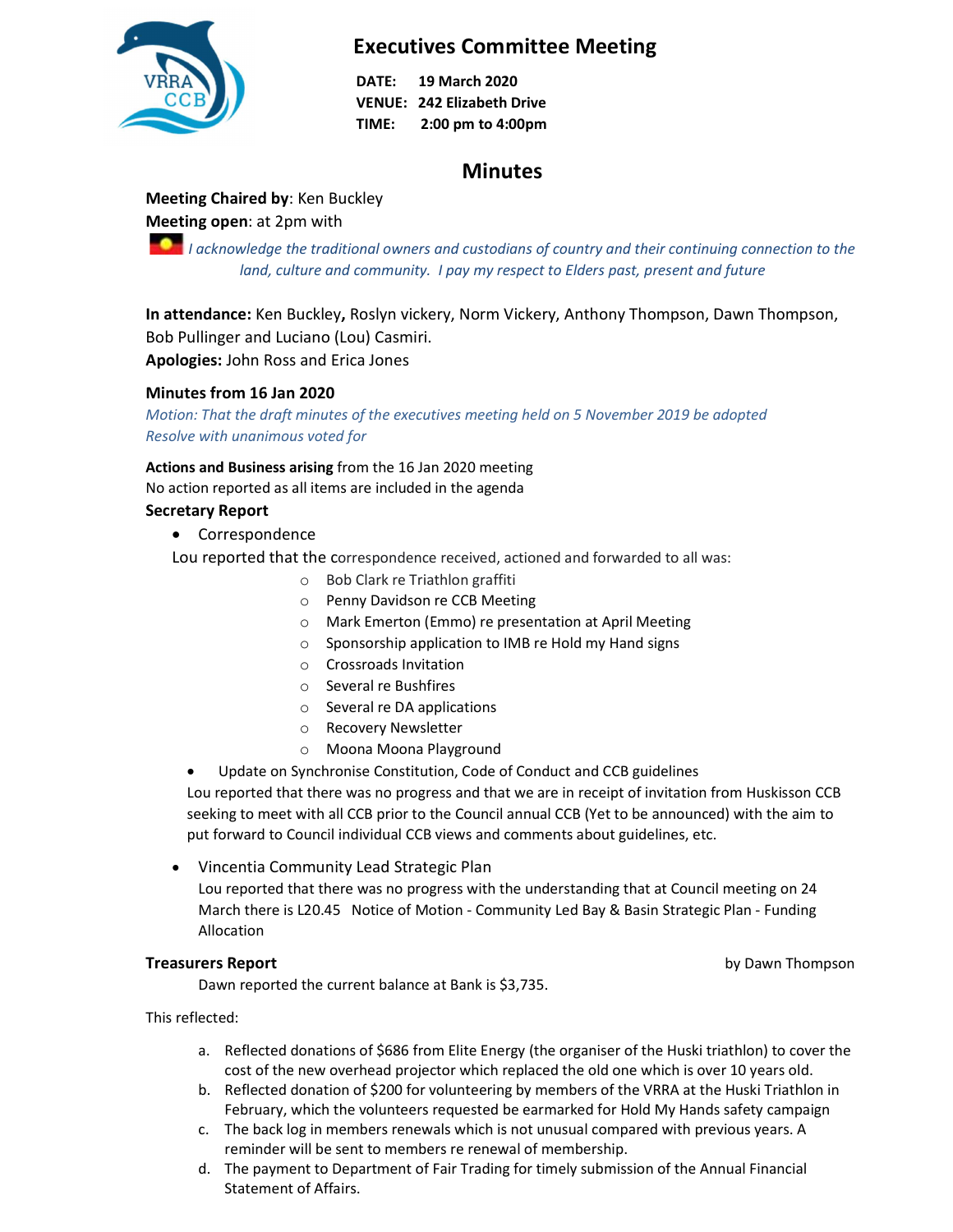

# Executives Committee Meeting

DATE: 19 March 2020 VENUE: 242 Elizabeth Drive TIME: 2:00 pm to 4:00pm

# **Minutes**

# Meeting Chaired by: Ken Buckley

# Meeting open: at 2pm with

**I** acknowledge the traditional owners and custodians of country and their continuing connection to the land, culture and community. I pay my respect to Elders past, present and future

In attendance: Ken Buckley, Roslyn vickery, Norm Vickery, Anthony Thompson, Dawn Thompson, Bob Pullinger and Luciano (Lou) Casmiri.

Apologies: John Ross and Erica Jones

## Minutes from 16 Jan 2020

Motion: That the draft minutes of the executives meeting held on 5 November 2019 be adopted Resolve with unanimous voted for

Actions and Business arising from the 16 Jan 2020 meeting No action reported as all items are included in the agenda

## Secretary Report

- Correspondence
- Lou reported that the correspondence received, actioned and forwarded to all was:
	- o Bob Clark re Triathlon graffiti
	- o Penny Davidson re CCB Meeting
	- o Mark Emerton (Emmo) re presentation at April Meeting
	- o Sponsorship application to IMB re Hold my Hand signs
	- o Crossroads Invitation
	- o Several re Bushfires
	- o Several re DA applications
	- o Recovery Newsletter
	- o Moona Moona Playground
	- Update on Synchronise Constitution, Code of Conduct and CCB guidelines

Lou reported that there was no progress and that we are in receipt of invitation from Huskisson CCB seeking to meet with all CCB prior to the Council annual CCB (Yet to be announced) with the aim to put forward to Council individual CCB views and comments about guidelines, etc.

 Vincentia Community Lead Strategic Plan Lou reported that there was no progress with the understanding that at Council meeting on 24 March there is L20.45 Notice of Motion - Community Led Bay & Basin Strategic Plan - Funding Allocation

**Treasurers Report by Dawn Thompson** 

Dawn reported the current balance at Bank is \$3,735.

This reflected:

- a. Reflected donations of \$686 from Elite Energy (the organiser of the Huski triathlon) to cover the cost of the new overhead projector which replaced the old one which is over 10 years old.
- b. Reflected donation of \$200 for volunteering by members of the VRRA at the Huski Triathlon in February, which the volunteers requested be earmarked for Hold My Hands safety campaign
- c. The back log in members renewals which is not unusual compared with previous years. A reminder will be sent to members re renewal of membership.
- d. The payment to Department of Fair Trading for timely submission of the Annual Financial Statement of Affairs.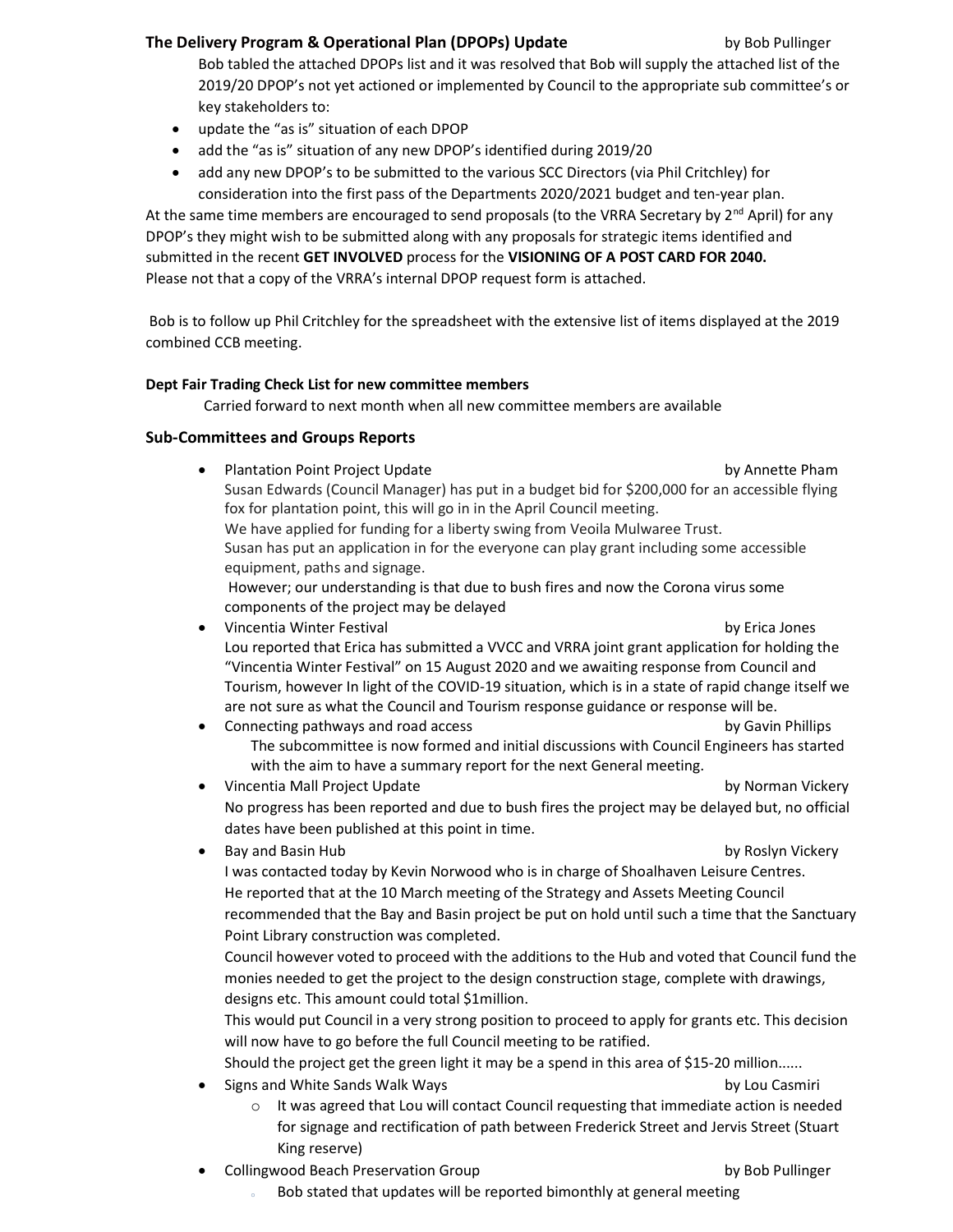### The Delivery Program & Operational Plan (DPOPs) Update by Bob Pullinger by Bob Pullinger

Bob tabled the attached DPOPs list and it was resolved that Bob will supply the attached list of the 2019/20 DPOP's not yet actioned or implemented by Council to the appropriate sub committee's or key stakeholders to:

- update the "as is" situation of each DPOP
- add the "as is" situation of any new DPOP's identified during 2019/20
- add any new DPOP's to be submitted to the various SCC Directors (via Phil Critchley) for consideration into the first pass of the Departments 2020/2021 budget and ten-year plan.

At the same time members are encouraged to send proposals (to the VRRA Secretary by  $2^{nd}$  April) for any DPOP's they might wish to be submitted along with any proposals for strategic items identified and submitted in the recent GET INVOLVED process for the VISIONING OF A POST CARD FOR 2040. Please not that a copy of the VRRA's internal DPOP request form is attached.

 Bob is to follow up Phil Critchley for the spreadsheet with the extensive list of items displayed at the 2019 combined CCB meeting.

### Dept Fair Trading Check List for new committee members

Carried forward to next month when all new committee members are available

### Sub-Committees and Groups Reports

Plantation Point Project Update by Annette Pham Susan Edwards (Council Manager) has put in a budget bid for \$200,000 for an accessible flying fox for plantation point, this will go in in the April Council meeting. We have applied for funding for a liberty swing from Veoila Mulwaree Trust. Susan has put an application in for the everyone can play grant including some accessible equipment, paths and signage. However; our understanding is that due to bush fires and now the Corona virus some components of the project may be delayed Vincentia Winter Festival by Erica Jones Lou reported that Erica has submitted a VVCC and VRRA joint grant application for holding the "Vincentia Winter Festival" on 15 August 2020 and we awaiting response from Council and Tourism, however In light of the COVID-19 situation, which is in a state of rapid change itself we are not sure as what the Council and Tourism response guidance or response will be. Connecting pathways and road access by Gavin Phillips The subcommittee is now formed and initial discussions with Council Engineers has started with the aim to have a summary report for the next General meeting. • Vincentia Mall Project Update by Norman Vickery by Norman Vickery No progress has been reported and due to bush fires the project may be delayed but, no official dates have been published at this point in time. Bay and Basin Hub by Roslyn Vickery I was contacted today by Kevin Norwood who is in charge of Shoalhaven Leisure Centres. He reported that at the 10 March meeting of the Strategy and Assets Meeting Council recommended that the Bay and Basin project be put on hold until such a time that the Sanctuary Point Library construction was completed. Council however voted to proceed with the additions to the Hub and voted that Council fund the monies needed to get the project to the design construction stage, complete with drawings, designs etc. This amount could total \$1million.

This would put Council in a very strong position to proceed to apply for grants etc. This decision will now have to go before the full Council meeting to be ratified.

Should the project get the green light it may be a spend in this area of \$15-20 million......

Signs and White Sands Walk Ways by Lou Casmiri

- $\circ$  It was agreed that Lou will contact Council requesting that immediate action is needed for signage and rectification of path between Frederick Street and Jervis Street (Stuart King reserve)
- Collingwood Beach Preservation Group by Bob Pullinger by Bob Pullinger
	-
	- Bob stated that updates will be reported bimonthly at general meeting